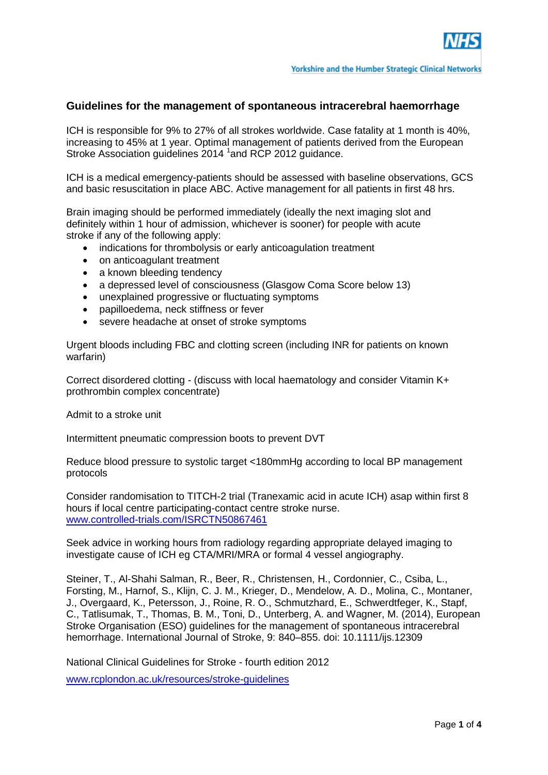

## **Guidelines for the management of spontaneous intracerebral haemorrhage**

ICH is responsible for 9% to 27% of all strokes worldwide. Case fatality at 1 month is 40%, increasing to 45% at 1 year. Optimal management of patients derived from the European Stroke Association guidelines 2014 <sup>1</sup> and RCP 2012 guidance.

ICH is a medical emergency-patients should be assessed with baseline observations, GCS and basic resuscitation in place ABC. Active management for all patients in first 48 hrs.

Brain imaging should be performed immediately (ideally the next imaging slot and definitely within 1 hour of admission, whichever is sooner) for people with acute stroke if any of the following apply:

- indications for thrombolysis or early anticoagulation treatment
- on anticoagulant treatment
- a known bleeding tendency
- a depressed level of consciousness (Glasgow Coma Score below 13)
- unexplained progressive or fluctuating symptoms
- papilloedema, neck stiffness or fever
- severe headache at onset of stroke symptoms

Urgent bloods including FBC and clotting screen (including INR for patients on known warfarin)

Correct disordered clotting - (discuss with local haematology and consider Vitamin K+ prothrombin complex concentrate)

Admit to a stroke unit

Intermittent pneumatic compression boots to prevent DVT

Reduce blood pressure to systolic target <180mmHg according to local BP management protocols

Consider randomisation to TITCH-2 trial (Tranexamic acid in acute ICH) asap within first 8 hours if local centre participating-contact centre stroke nurse. [www.controlled-trials.com/ISRCTN50867461](http://www.controlled-trials.com/ISRCTN50867461)

Seek advice in working hours from radiology regarding appropriate delayed imaging to investigate cause of ICH eg CTA/MRI/MRA or formal 4 vessel angiography.

Steiner, T., Al-Shahi Salman, R., Beer, R., Christensen, H., Cordonnier, C., Csiba, L., Forsting, M., Harnof, S., Klijn, C. J. M., Krieger, D., Mendelow, A. D., Molina, C., Montaner, J., Overgaard, K., Petersson, J., Roine, R. O., Schmutzhard, E., Schwerdtfeger, K., Stapf, C., Tatlisumak, T., Thomas, B. M., Toni, D., Unterberg, A. and Wagner, M. (2014), European Stroke Organisation (ESO) guidelines for the management of spontaneous intracerebral hemorrhage. International Journal of Stroke, 9: 840–855. doi: 10.1111/ijs.12309

National Clinical Guidelines for Stroke - fourth edition 2012

[www.rcplondon.ac.uk/resources/stroke-guidelines](http://www.rcplondon.ac.uk/resources/stroke-guidelines)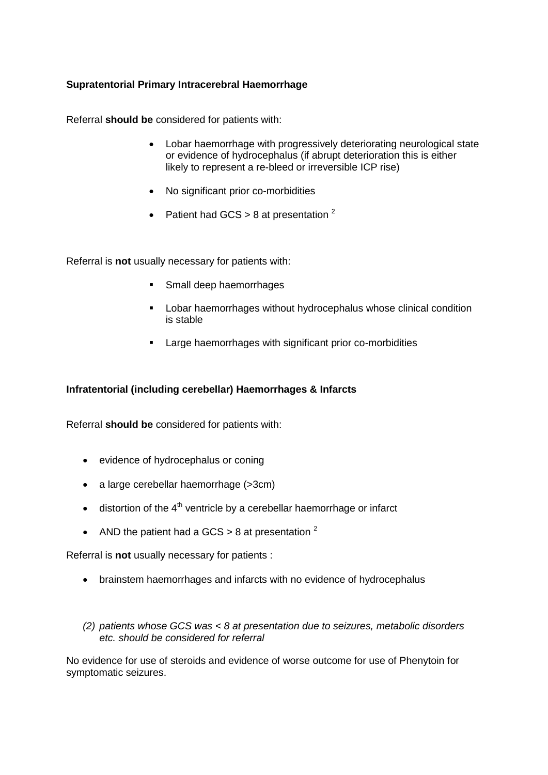## **Supratentorial Primary Intracerebral Haemorrhage**

Referral **should be** considered for patients with:

- Lobar haemorrhage with progressively deteriorating neurological state or evidence of hydrocephalus (if abrupt deterioration this is either likely to represent a re-bleed or irreversible ICP rise)
- No significant prior co-morbidities
- Patient had GCS > 8 at presentation  $2$

Referral is **not** usually necessary for patients with:

- **Small deep haemorrhages**
- **EXECT** Lobar haemorrhages without hydrocephalus whose clinical condition is stable
- **EXECT:** Large haemorrhages with significant prior co-morbidities

## **Infratentorial (including cerebellar) Haemorrhages & Infarcts**

Referral **should be** considered for patients with:

- evidence of hydrocephalus or coning
- a large cerebellar haemorrhage (>3cm)
- $\bullet$  distortion of the 4<sup>th</sup> ventricle by a cerebellar haemorrhage or infarct
- AND the patient had a GCS  $> 8$  at presentation  $2$

Referral is **not** usually necessary for patients :

- brainstem haemorrhages and infarcts with no evidence of hydrocephalus
- *(2) patients whose GCS was < 8 at presentation due to seizures, metabolic disorders etc. should be considered for referral*

No evidence for use of steroids and evidence of worse outcome for use of Phenytoin for symptomatic seizures.